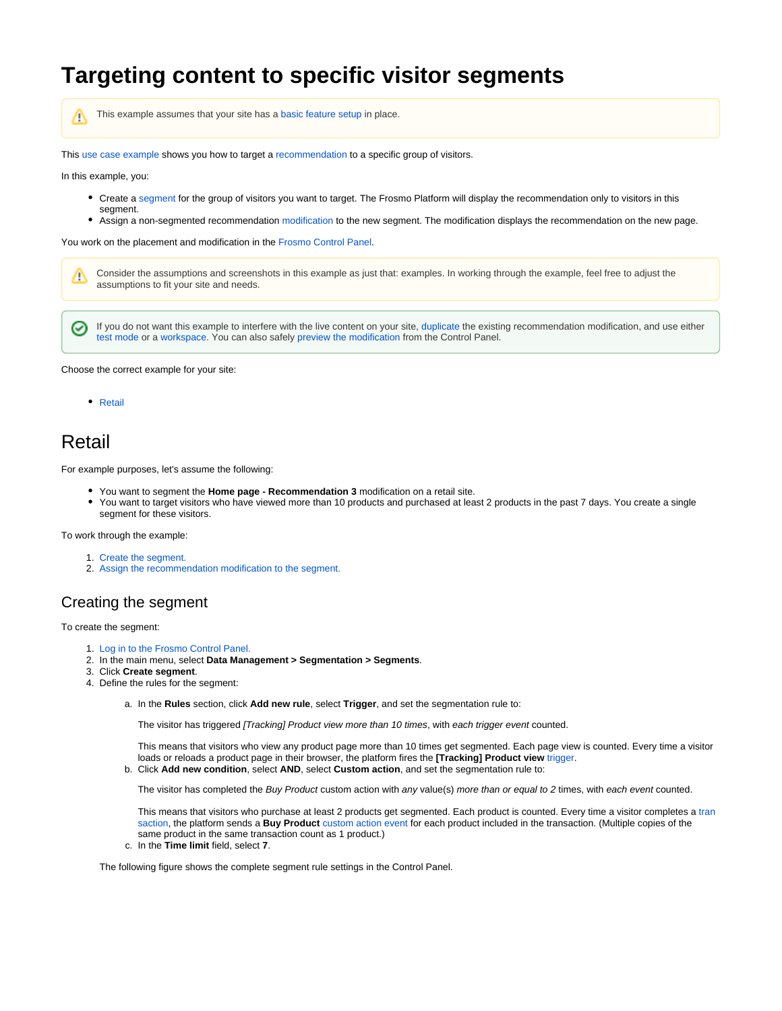# **Targeting content to specific visitor segments**



This example assumes that your site has a [basic feature setup](https://docs.frosmo.com/display/getstarted/Basic+feature+setup) in place.

This [use case example](https://docs.frosmo.com/display/getstarted/Creating+personalized+content) shows you how to target a [recommendation](https://docs.frosmo.com/display/getstarted/Key+features+and+concepts#Keyfeaturesandconcepts-Recommendation) to a specific group of visitors.

In this example, you:

- Create a [segment](https://docs.frosmo.com/display/getstarted/Key+features+and+concepts#Keyfeaturesandconcepts-Segment) for the group of visitors you want to target. The Frosmo Platform will display the recommendation only to visitors in this segment.
- Assign a non-segmented recommendation [modification](https://docs.frosmo.com/display/getstarted/Key+features+and+concepts#Keyfeaturesandconcepts-Modification) to the new segment. The modification displays the recommendation on the new page.

You work on the placement and modification in the [Frosmo Control Panel](https://docs.frosmo.com/display/getstarted/Introduction+to+the+Frosmo+Control+Panel).

Consider the assumptions and screenshots in this example as just that: examples. In working through the example, feel free to adjust the /\ assumptions to fit your site and needs.

If you do not want this example to interfere with the live content on your site, [duplicate](https://docs.frosmo.com/display/ui/Duplicating+a+modification) the existing recommendation modification, and use either の [test mode](https://docs.frosmo.com/display/ui/Test+mode) or a [workspace.](https://docs.frosmo.com/display/platform/Feature%3A+Workspace) You can also safely [preview the modification](https://docs.frosmo.com/display/ui/Previewing+the+modification) from the Control Panel.

Choose the correct example for your site:

• [Retail](#page-0-0)

# <span id="page-0-0"></span>Retail

For example purposes, let's assume the following:

- You want to segment the **Home page Recommendation 3** modification on a retail site.
- You want to target visitors who have viewed more than 10 products and purchased at least 2 products in the past 7 days. You create a single segment for these visitors.

To work through the example:

- 1. [Create the segment.](#page-0-1)
- 2. [Assign the recommendation modification to the segment.](#page-2-0)

## <span id="page-0-1"></span>Creating the segment

To create the segment:

- 1. [Log in to the Frosmo Control Panel.](https://docs.frosmo.com/display/getstarted/Logging+in+to+the+Frosmo+Control+Panel)
- 2. In the main menu, select **Data Management > Segmentation > Segments**.
- 3. Click **Create segment**.
- 4. Define the rules for the segment:
	- a. In the **Rules** section, click **Add new rule**, select **Trigger**, and set the segmentation rule to:

The visitor has triggered [Tracking] Product view more than 10 times, with each trigger event counted.

This means that visitors who view any product page more than 10 times get segmented. Each page view is counted. Every time a visitor loads or reloads a product page in their browser, the platform fires the **[Tracking] Product view** [trigger.](https://docs.frosmo.com/display/getstarted/Key+features+and+concepts#Keyfeaturesandconcepts-Trigger)

b. Click **Add new condition**, select **AND**, select **Custom action**, and set the segmentation rule to:

The visitor has completed the Buy Product custom action with any value(s) more than or equal to 2 times, with each event counted.

This means that visitors who purchase at least 2 products get segmented. Each product is counted. Every time a visitor completes a [tran](https://docs.frosmo.com/display/platform/Data+tracking+overview#Datatrackingoverview-Transactiontracking) [saction,](https://docs.frosmo.com/display/platform/Data+tracking+overview#Datatrackingoverview-Transactiontracking) the platform sends a **Buy Product** [custom action event](https://docs.frosmo.com/display/platform/Data+tracking+overview#Datatrackingoverview-Customactiontracking) for each product included in the transaction. (Multiple copies of the same product in the same transaction count as 1 product.)

c. In the **Time limit** field, select **7**.

The following figure shows the complete segment rule settings in the Control Panel.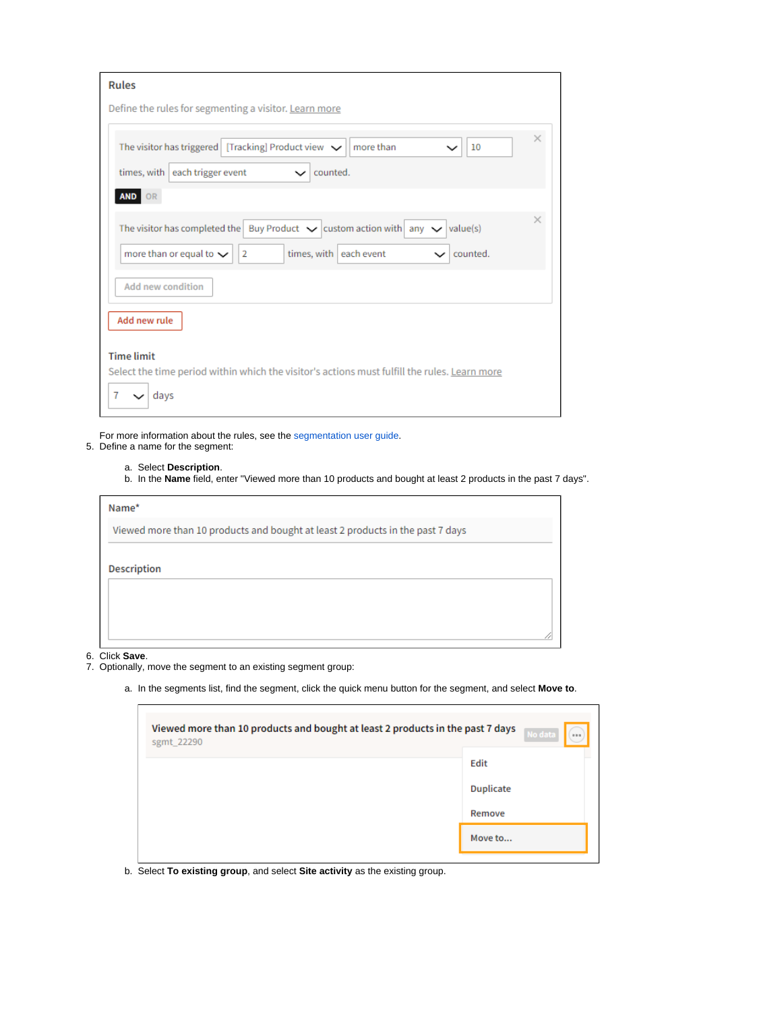| <b>Rules</b><br>Define the rules for segmenting a visitor. Learn more                                                                                                                                    |          |
|----------------------------------------------------------------------------------------------------------------------------------------------------------------------------------------------------------|----------|
| The visitor has triggered [Tracking] Product view $\vee$   more than<br>10<br>times, with each trigger event<br>counted.<br>$\check{ }$                                                                  | $\times$ |
| AND OR                                                                                                                                                                                                   |          |
| The visitor has completed the   Buy Product $\vee$ custom action with   any $\vee$<br>value(s)<br>more than or equal to $\smile$<br>$\overline{2}$<br>times, with each event<br>counted.<br>$\checkmark$ | ×        |
| Add new condition                                                                                                                                                                                        |          |
| Add new rule<br><b>Time limit</b>                                                                                                                                                                        |          |
| Select the time period within which the visitor's actions must fulfill the rules. Learn more                                                                                                             |          |
| 7<br>days                                                                                                                                                                                                |          |

For more information about the rules, see the [segmentation user guide](https://docs.frosmo.com/display/ui/Creating+and+editing+a+segment#Creatingandeditingasegment-Segmentationsettings).

5. Define a name for the segment:

### a. Select **Description**.

b. In the **Name** field, enter "Viewed more than 10 products and bought at least 2 products in the past 7 days".

| Name*                                                                          |  |
|--------------------------------------------------------------------------------|--|
| Viewed more than 10 products and bought at least 2 products in the past 7 days |  |
| <b>Description</b>                                                             |  |

#### 6. Click **Save**.

- 7. Optionally, move the segment to an existing segment group:
	- a. In the segments list, find the segment, click the quick menu button for the segment, and select **Move to**.

| Viewed more than 10 products and bought at least 2 products in the past 7 days<br>sgmt 22290 | No data<br>699   |
|----------------------------------------------------------------------------------------------|------------------|
|                                                                                              | Edit             |
|                                                                                              | <b>Duplicate</b> |
|                                                                                              | Remove           |
|                                                                                              | Move to          |
|                                                                                              |                  |

b. Select **To existing group**, and select **Site activity** as the existing group.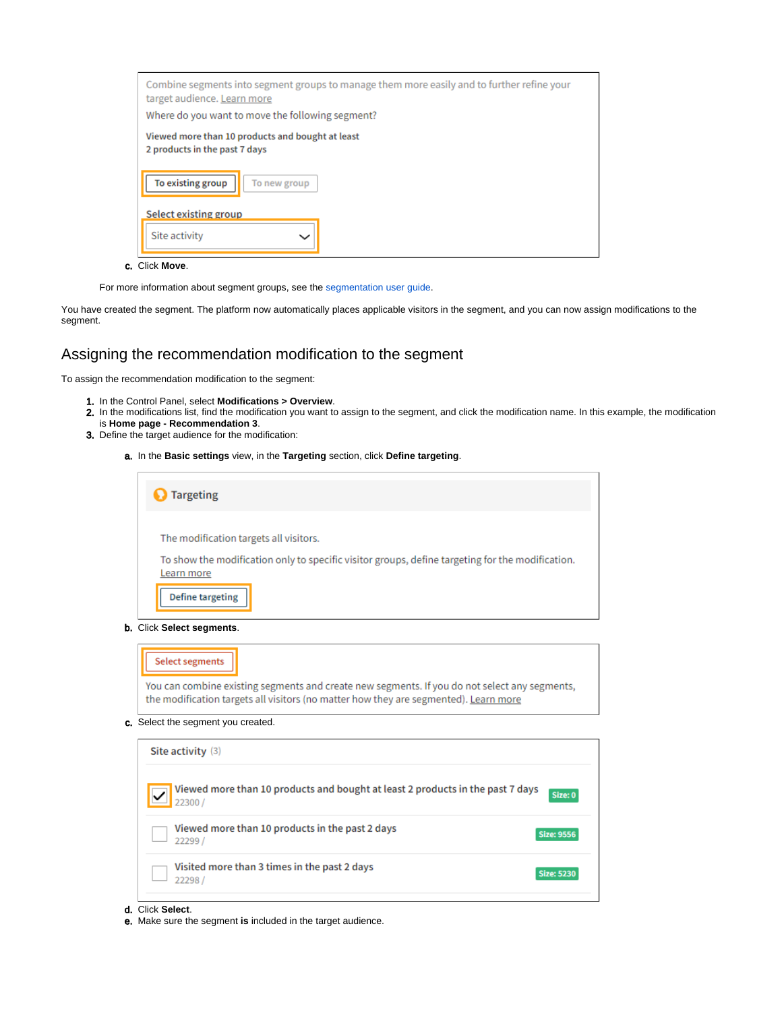| Combine segments into segment groups to manage them more easily and to further refine your<br>target audience. Learn more |
|---------------------------------------------------------------------------------------------------------------------------|
| Where do you want to move the following segment?                                                                          |
| Viewed more than 10 products and bought at least<br>2 products in the past 7 days                                         |
| To existing group<br>To new group                                                                                         |
| Select existing group                                                                                                     |
| Site activity<br>$\check{ }$                                                                                              |

c. Click **Move**.

For more information about segment groups, see the [segmentation user guide](https://docs.frosmo.com/display/ui/Working+with+segment+groups).

You have created the segment. The platform now automatically places applicable visitors in the segment, and you can now assign modifications to the segment.

## <span id="page-2-0"></span>Assigning the recommendation modification to the segment

To assign the recommendation modification to the segment:

- 1. In the Control Panel, select **Modifications > Overview**.
- 2. In the modifications list, find the modification you want to assign to the segment, and click the modification name. In this example, the modification is **Home page - Recommendation 3**.
- 3. Define the target audience for the modification:
	- a. In the **Basic settings** view, in the **Targeting** section, click **Define targeting**.

| <b>Targeting</b>                                                                                                                           |
|--------------------------------------------------------------------------------------------------------------------------------------------|
| The modification targets all visitors.<br>To show the modification only to specific visitor groups, define targeting for the modification. |
| Learn more<br>Define targeting                                                                                                             |
| $\sim$ $\sim$ $\sim$ $\sim$ $\sim$ $\sim$                                                                                                  |

b. Click **Select segments**.

| Select segments                                                                                                                                                                       |
|---------------------------------------------------------------------------------------------------------------------------------------------------------------------------------------|
| You can combine existing segments and create new segments. If you do not select any segments,<br>the modification targets all visitors (no matter how they are segmented). Learn more |

c. Select the segment you created.

| Site activity (3)                                                                        |                   |
|------------------------------------------------------------------------------------------|-------------------|
| Viewed more than 10 products and bought at least 2 products in the past 7 days<br>22300/ | Size: 0           |
| Viewed more than 10 products in the past 2 days<br>22299 /                               | <b>Size: 9556</b> |
| Visited more than 3 times in the past 2 days<br>22298                                    | <b>Size: 5230</b> |

- d. Click **Select**.
- e. Make sure the segment **is** included in the target audience.